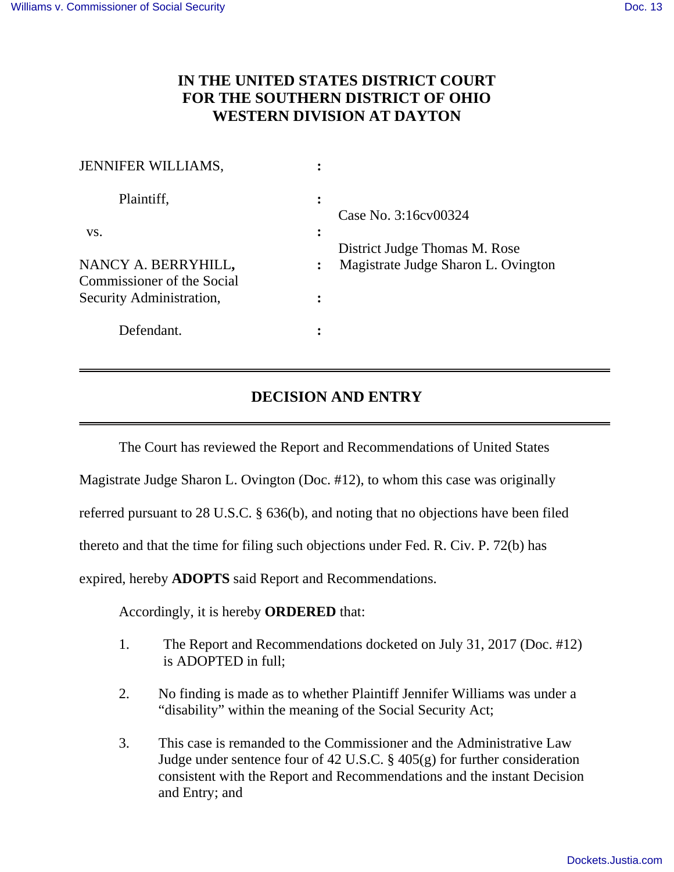$\overline{a}$ 

## **IN THE UNITED STATES DISTRICT COURT FOR THE SOUTHERN DISTRICT OF OHIO WESTERN DIVISION AT DAYTON**

| <b>JENNIFER WILLIAMS,</b>                         |                                                       |
|---------------------------------------------------|-------------------------------------------------------|
| Plaintiff,                                        | $\ddot{\cdot}$<br>Case No. 3:16 cv 00324              |
| VS.                                               | $\ddot{\cdot}$<br>District Judge Thomas M. Rose       |
| NANCY A. BERRYHILL,<br>Commissioner of the Social | Magistrate Judge Sharon L. Ovington<br>$\ddot{\cdot}$ |
| Security Administration,                          |                                                       |
| Defendant.                                        |                                                       |

## **DECISION AND ENTRY**

The Court has reviewed the Report and Recommendations of United States

Magistrate Judge Sharon L. Ovington (Doc. #12), to whom this case was originally

referred pursuant to 28 U.S.C. § 636(b), and noting that no objections have been filed

thereto and that the time for filing such objections under Fed. R. Civ. P. 72(b) has

expired, hereby **ADOPTS** said Report and Recommendations.

Accordingly, it is hereby **ORDERED** that:

- 1. The Report and Recommendations docketed on July 31, 2017 (Doc. #12) is ADOPTED in full;
- 2. No finding is made as to whether Plaintiff Jennifer Williams was under a "disability" within the meaning of the Social Security Act;
- 3. This case is remanded to the Commissioner and the Administrative Law Judge under sentence four of 42 U.S.C. § 405(g) for further consideration consistent with the Report and Recommendations and the instant Decision and Entry; and